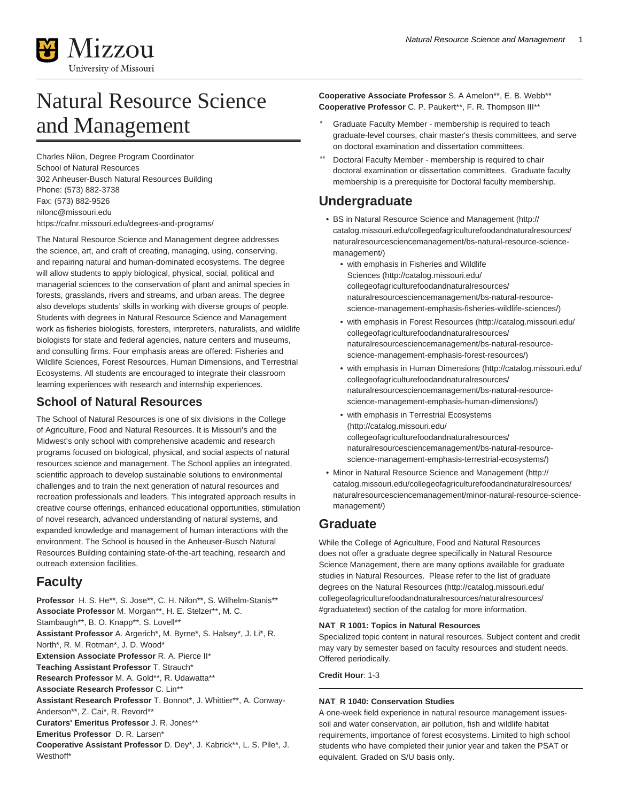

# Natural Resource Science and Management

Charles Nilon, Degree Program Coordinator School of Natural Resources 302 Anheuser-Busch Natural Resources Building Phone: (573) 882-3738 Fax: (573) 882-9526 [nilonc@missouri.edu](mailto:nilonc@missouri.edu) <https://cafnr.missouri.edu/degrees-and-programs/>

The Natural Resource Science and Management degree addresses the science, art, and craft of creating, managing, using, conserving, and repairing natural and human-dominated ecosystems. The degree will allow students to apply biological, physical, social, political and managerial sciences to the conservation of plant and animal species in forests, grasslands, rivers and streams, and urban areas. The degree also develops students' skills in working with diverse groups of people. Students with degrees in Natural Resource Science and Management work as fisheries biologists, foresters, interpreters, naturalists, and wildlife biologists for state and federal agencies, nature centers and museums, and consulting firms. Four emphasis areas are offered: Fisheries and Wildlife Sciences, Forest Resources, Human Dimensions, and Terrestrial Ecosystems. All students are encouraged to integrate their classroom learning experiences with research and internship experiences.

# **School of Natural Resources**

The School of Natural Resources is one of six divisions in the College of Agriculture, Food and Natural Resources. It is Missouri's and the Midwest's only school with comprehensive academic and research programs focused on biological, physical, and social aspects of natural resources science and management. The School applies an integrated, scientific approach to develop sustainable solutions to environmental challenges and to train the next generation of natural resources and recreation professionals and leaders. This integrated approach results in creative course offerings, enhanced educational opportunities, stimulation of novel research, advanced understanding of natural systems, and expanded knowledge and management of human interactions with the environment. The School is housed in the Anheuser-Busch Natural Resources Building containing state-of-the-art teaching, research and outreach extension facilities.

# **Faculty**

**Professor** H. S. He\*\*, S. Jose\*\*, C. H. Nilon\*\*, S. Wilhelm-Stanis\*\* **Associate Professor** M. Morgan\*\*, H. E. Stelzer\*\*, M. C. Stambaugh\*\*, B. O. Knapp\*\*. S. Lovell\*\* **Assistant Professor** A. Argerich\*, M. Byrne\*, S. Halsey\*, J. Li\*, R. North\*, R. M. Rotman\*, J. D. Wood\* **Extension Associate Professor** R. A. Pierce II\* **Teaching Assistant Professor** T. Strauch\* **Research Professor** M. A. Gold\*\*, R. Udawatta\*\* **Associate Research Professor** C. Lin\*\* **Assistant Research Professor** T. Bonnot\*, J. Whittier\*\*, A. Conway-Anderson\*\*, Z. Cai\*, R. Revord\*\* **Curators' Emeritus Professor** J. R. Jones\*\* **Emeritus Professor** D. R. Larsen\* **Cooperative Assistant Professor** D. Dey\*, J. Kabrick\*\*, L. S. Pile\*, J. Westhoff\*

**Cooperative Associate Professor** S. A Amelon\*\*, E. B. Webb\*\* **Cooperative Professor** C. P. Paukert\*\*, F. R. Thompson III\*\*

- Graduate Faculty Member membership is required to teach graduate-level courses, chair master's thesis committees, and serve on doctoral examination and dissertation committees.
- Doctoral Faculty Member membership is required to chair doctoral examination or dissertation committees. Graduate faculty membership is a prerequisite for Doctoral faculty membership.

# **Undergraduate**

- [BS in Natural Resource Science and Management](http://catalog.missouri.edu/collegeofagriculturefoodandnaturalresources/naturalresourcesciencemanagement/bs-natural-resource-science-management/) ([http://](http://catalog.missouri.edu/collegeofagriculturefoodandnaturalresources/naturalresourcesciencemanagement/bs-natural-resource-science-management/) [catalog.missouri.edu/collegeofagriculturefoodandnaturalresources/](http://catalog.missouri.edu/collegeofagriculturefoodandnaturalresources/naturalresourcesciencemanagement/bs-natural-resource-science-management/) [naturalresourcesciencemanagement/bs-natural-resource-science](http://catalog.missouri.edu/collegeofagriculturefoodandnaturalresources/naturalresourcesciencemanagement/bs-natural-resource-science-management/)[management/\)](http://catalog.missouri.edu/collegeofagriculturefoodandnaturalresources/naturalresourcesciencemanagement/bs-natural-resource-science-management/)
	- [with emphasis in Fisheries and Wildlife](http://catalog.missouri.edu/collegeofagriculturefoodandnaturalresources/naturalresourcesciencemanagement/bs-natural-resource-science-management-emphasis-fisheries-wildlife-sciences/) [Sciences](http://catalog.missouri.edu/collegeofagriculturefoodandnaturalresources/naturalresourcesciencemanagement/bs-natural-resource-science-management-emphasis-fisheries-wildlife-sciences/) [\(http://catalog.missouri.edu/](http://catalog.missouri.edu/collegeofagriculturefoodandnaturalresources/naturalresourcesciencemanagement/bs-natural-resource-science-management-emphasis-fisheries-wildlife-sciences/) [collegeofagriculturefoodandnaturalresources/](http://catalog.missouri.edu/collegeofagriculturefoodandnaturalresources/naturalresourcesciencemanagement/bs-natural-resource-science-management-emphasis-fisheries-wildlife-sciences/) [naturalresourcesciencemanagement/bs-natural-resource](http://catalog.missouri.edu/collegeofagriculturefoodandnaturalresources/naturalresourcesciencemanagement/bs-natural-resource-science-management-emphasis-fisheries-wildlife-sciences/)[science-management-emphasis-fisheries-wildlife-sciences/](http://catalog.missouri.edu/collegeofagriculturefoodandnaturalresources/naturalresourcesciencemanagement/bs-natural-resource-science-management-emphasis-fisheries-wildlife-sciences/))
	- [with emphasis in Forest Resources](http://catalog.missouri.edu/collegeofagriculturefoodandnaturalresources/naturalresourcesciencemanagement/bs-natural-resource-science-management-emphasis-forest-resources/) [\(http://catalog.missouri.edu/](http://catalog.missouri.edu/collegeofagriculturefoodandnaturalresources/naturalresourcesciencemanagement/bs-natural-resource-science-management-emphasis-forest-resources/) [collegeofagriculturefoodandnaturalresources/](http://catalog.missouri.edu/collegeofagriculturefoodandnaturalresources/naturalresourcesciencemanagement/bs-natural-resource-science-management-emphasis-forest-resources/) [naturalresourcesciencemanagement/bs-natural-resource](http://catalog.missouri.edu/collegeofagriculturefoodandnaturalresources/naturalresourcesciencemanagement/bs-natural-resource-science-management-emphasis-forest-resources/)[science-management-emphasis-forest-resources/](http://catalog.missouri.edu/collegeofagriculturefoodandnaturalresources/naturalresourcesciencemanagement/bs-natural-resource-science-management-emphasis-forest-resources/))
	- [with emphasis in Human Dimensions](http://catalog.missouri.edu/collegeofagriculturefoodandnaturalresources/naturalresourcesciencemanagement/bs-natural-resource-science-management-emphasis-human-dimensions/) [\(http://catalog.missouri.edu/](http://catalog.missouri.edu/collegeofagriculturefoodandnaturalresources/naturalresourcesciencemanagement/bs-natural-resource-science-management-emphasis-human-dimensions/) [collegeofagriculturefoodandnaturalresources/](http://catalog.missouri.edu/collegeofagriculturefoodandnaturalresources/naturalresourcesciencemanagement/bs-natural-resource-science-management-emphasis-human-dimensions/) [naturalresourcesciencemanagement/bs-natural-resource](http://catalog.missouri.edu/collegeofagriculturefoodandnaturalresources/naturalresourcesciencemanagement/bs-natural-resource-science-management-emphasis-human-dimensions/)[science-management-emphasis-human-dimensions/\)](http://catalog.missouri.edu/collegeofagriculturefoodandnaturalresources/naturalresourcesciencemanagement/bs-natural-resource-science-management-emphasis-human-dimensions/)
	- [with emphasis in Terrestrial Ecosystems](http://catalog.missouri.edu/collegeofagriculturefoodandnaturalresources/naturalresourcesciencemanagement/bs-natural-resource-science-management-emphasis-terrestrial-ecosystems/) ([http://catalog.missouri.edu/](http://catalog.missouri.edu/collegeofagriculturefoodandnaturalresources/naturalresourcesciencemanagement/bs-natural-resource-science-management-emphasis-terrestrial-ecosystems/) [collegeofagriculturefoodandnaturalresources/](http://catalog.missouri.edu/collegeofagriculturefoodandnaturalresources/naturalresourcesciencemanagement/bs-natural-resource-science-management-emphasis-terrestrial-ecosystems/) [naturalresourcesciencemanagement/bs-natural-resource](http://catalog.missouri.edu/collegeofagriculturefoodandnaturalresources/naturalresourcesciencemanagement/bs-natural-resource-science-management-emphasis-terrestrial-ecosystems/)[science-management-emphasis-terrestrial-ecosystems/](http://catalog.missouri.edu/collegeofagriculturefoodandnaturalresources/naturalresourcesciencemanagement/bs-natural-resource-science-management-emphasis-terrestrial-ecosystems/))
- [Minor in Natural Resource Science and Management](http://catalog.missouri.edu/collegeofagriculturefoodandnaturalresources/naturalresourcesciencemanagement/minor-natural-resource-science-management/) ([http://](http://catalog.missouri.edu/collegeofagriculturefoodandnaturalresources/naturalresourcesciencemanagement/minor-natural-resource-science-management/) [catalog.missouri.edu/collegeofagriculturefoodandnaturalresources/](http://catalog.missouri.edu/collegeofagriculturefoodandnaturalresources/naturalresourcesciencemanagement/minor-natural-resource-science-management/) [naturalresourcesciencemanagement/minor-natural-resource-science](http://catalog.missouri.edu/collegeofagriculturefoodandnaturalresources/naturalresourcesciencemanagement/minor-natural-resource-science-management/)[management/\)](http://catalog.missouri.edu/collegeofagriculturefoodandnaturalresources/naturalresourcesciencemanagement/minor-natural-resource-science-management/)

# **Graduate**

While the College of Agriculture, Food and Natural Resources does not offer a graduate degree specifically in Natural Resource Science Management, there are many options available for graduate studies in Natural Resources. Please refer to the list of graduate degrees on the [Natural Resources](http://catalog.missouri.edu/collegeofagriculturefoodandnaturalresources/naturalresources/#graduatetext) ([http://catalog.missouri.edu/](http://catalog.missouri.edu/collegeofagriculturefoodandnaturalresources/naturalresources/#graduatetext) [collegeofagriculturefoodandnaturalresources/naturalresources/](http://catalog.missouri.edu/collegeofagriculturefoodandnaturalresources/naturalresources/#graduatetext) [#graduatetext\)](http://catalog.missouri.edu/collegeofagriculturefoodandnaturalresources/naturalresources/#graduatetext) section of the catalog for more information.

# **NAT\_R 1001: Topics in Natural Resources**

Specialized topic content in natural resources. Subject content and credit may vary by semester based on faculty resources and student needs. Offered periodically.

**Credit Hour**: 1-3

# **NAT\_R 1040: Conservation Studies**

A one-week field experience in natural resource management issuessoil and water conservation, air pollution, fish and wildlife habitat requirements, importance of forest ecosystems. Limited to high school students who have completed their junior year and taken the PSAT or equivalent. Graded on S/U basis only.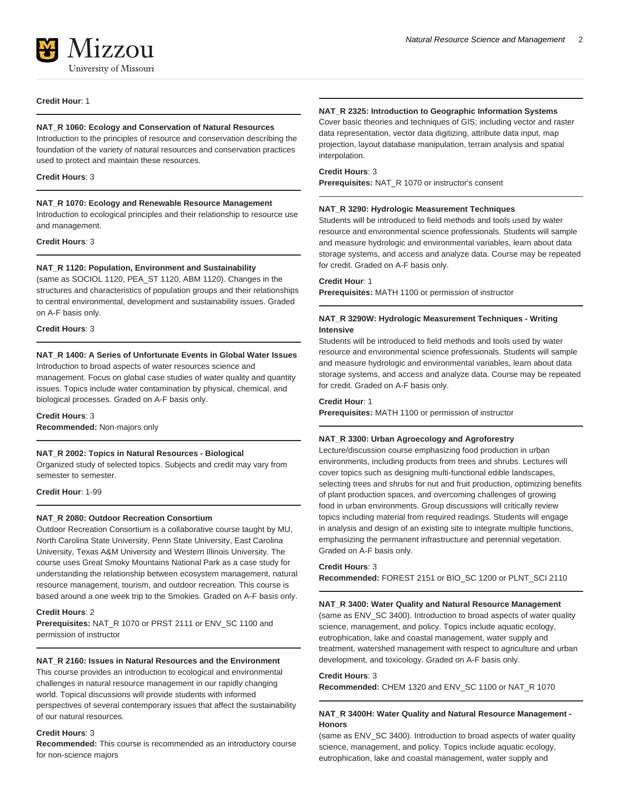

#### **Credit Hour**: 1

#### **NAT\_R 1060: Ecology and Conservation of Natural Resources**

Introduction to the principles of resource and conservation describing the foundation of the variety of natural resources and conservation practices used to protect and maintain these resources.

#### **Credit Hours**: 3

#### **NAT\_R 1070: Ecology and Renewable Resource Management**

Introduction to ecological principles and their relationship to resource use and management.

#### **Credit Hours**: 3

# **NAT\_R 1120: Population, Environment and Sustainability**

(same as SOCIOL 1120, PEA\_ST 1120, ABM 1120). Changes in the structures and characteristics of population groups and their relationships to central environmental, development and sustainability issues. Graded on A-F basis only.

#### **Credit Hours**: 3

#### **NAT\_R 1400: A Series of Unfortunate Events in Global Water Issues**

Introduction to broad aspects of water resources science and management. Focus on global case studies of water quality and quantity issues. Topics include water contamination by physical, chemical, and biological processes. Graded on A-F basis only.

#### **Credit Hours**: 3

**Recommended:** Non-majors only

#### **NAT\_R 2002: Topics in Natural Resources - Biological**

Organized study of selected topics. Subjects and credit may vary from semester to semester.

**Credit Hour**: 1-99

#### **NAT\_R 2080: Outdoor Recreation Consortium**

Outdoor Recreation Consortium is a collaborative course taught by MU, North Carolina State University, Penn State University, East Carolina University, Texas A&M University and Western Illinois University. The course uses Great Smoky Mountains National Park as a case study for understanding the relationship between ecosystem management, natural resource management, tourism, and outdoor recreation. This course is based around a one week trip to the Smokies. Graded on A-F basis only.

#### **Credit Hours**: 2

**Prerequisites:** NAT\_R 1070 or PRST 2111 or ENV\_SC 1100 and permission of instructor

#### **NAT\_R 2160: Issues in Natural Resources and the Environment**

This course provides an introduction to ecological and environmental challenges in natural resource management in our rapidly changing world. Topical discussions will provide students with informed perspectives of several contemporary issues that affect the sustainability of our natural resources.

# **Credit Hours**: 3

**Recommended:** This course is recommended as an introductory course for non-science majors

#### **NAT\_R 2325: Introduction to Geographic Information Systems**

Cover basic theories and techniques of GIS; including vector and raster data representation, vector data digitizing, attribute data input, map projection, layout database manipulation, terrain analysis and spatial interpolation.

### **Credit Hours**: 3

**Prerequisites:** NAT\_R 1070 or instructor's consent

#### **NAT\_R 3290: Hydrologic Measurement Techniques**

Students will be introduced to field methods and tools used by water resource and environmental science professionals. Students will sample and measure hydrologic and environmental variables, learn about data storage systems, and access and analyze data. Course may be repeated for credit. Graded on A-F basis only.

#### **Credit Hour**: 1

**Prerequisites:** MATH 1100 or permission of instructor

#### **NAT\_R 3290W: Hydrologic Measurement Techniques - Writing Intensive**

Students will be introduced to field methods and tools used by water resource and environmental science professionals. Students will sample and measure hydrologic and environmental variables, learn about data storage systems, and access and analyze data. Course may be repeated for credit. Graded on A-F basis only.

#### **Credit Hour**: 1

**Prerequisites:** MATH 1100 or permission of instructor

# **NAT\_R 3300: Urban Agroecology and Agroforestry**

Lecture/discussion course emphasizing food production in urban environments, including products from trees and shrubs. Lectures will cover topics such as designing multi-functional edible landscapes, selecting trees and shrubs for nut and fruit production, optimizing benefits of plant production spaces, and overcoming challenges of growing food in urban environments. Group discussions will critically review topics including material from required readings. Students will engage in analysis and design of an existing site to integrate multiple functions, emphasizing the permanent infrastructure and perennial vegetation. Graded on A-F basis only.

# **Credit Hours**: 3

**Recommended:** FOREST 2151 or BIO\_SC 1200 or PLNT\_SCI 2110

#### **NAT\_R 3400: Water Quality and Natural Resource Management**

(same as ENV\_SC 3400). Introduction to broad aspects of water quality science, management, and policy. Topics include aquatic ecology, eutrophication, lake and coastal management, water supply and treatment, watershed management with respect to agriculture and urban development, and toxicology. Graded on A-F basis only.

#### **Credit Hours**: 3

**Recommended:** CHEM 1320 and ENV\_SC 1100 or NAT\_R 1070

# **NAT\_R 3400H: Water Quality and Natural Resource Management - Honors**

(same as ENV\_SC 3400). Introduction to broad aspects of water quality science, management, and policy. Topics include aquatic ecology, eutrophication, lake and coastal management, water supply and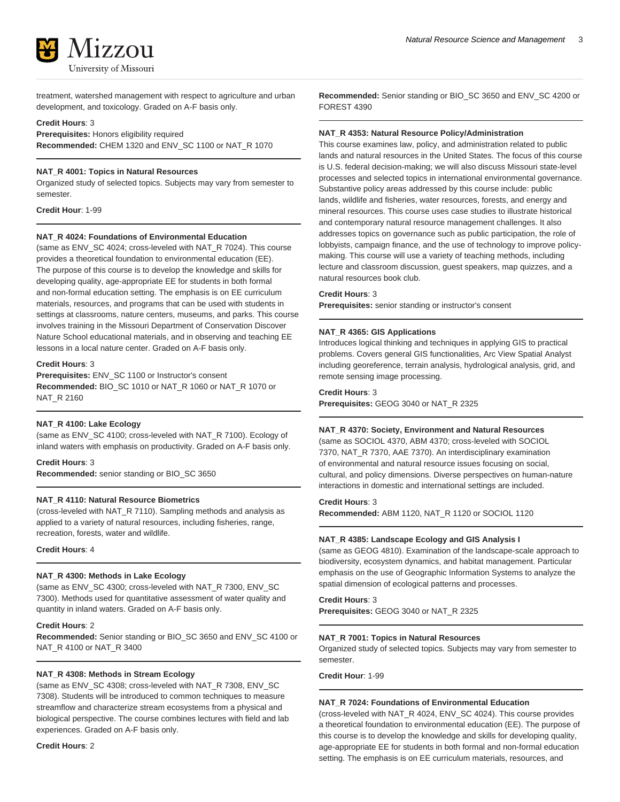

treatment, watershed management with respect to agriculture and urban development, and toxicology. Graded on A-F basis only.

#### **Credit Hours**: 3

**Prerequisites:** Honors eligibility required **Recommended:** CHEM 1320 and ENV\_SC 1100 or NAT\_R 1070

# **NAT\_R 4001: Topics in Natural Resources**

Organized study of selected topics. Subjects may vary from semester to semester.

**Credit Hour**: 1-99

#### **NAT\_R 4024: Foundations of Environmental Education**

(same as ENV\_SC 4024; cross-leveled with NAT\_R 7024). This course provides a theoretical foundation to environmental education (EE). The purpose of this course is to develop the knowledge and skills for developing quality, age-appropriate EE for students in both formal and non-formal education setting. The emphasis is on EE curriculum materials, resources, and programs that can be used with students in settings at classrooms, nature centers, museums, and parks. This course involves training in the Missouri Department of Conservation Discover Nature School educational materials, and in observing and teaching EE lessons in a local nature center. Graded on A-F basis only.

#### **Credit Hours**: 3

**Prerequisites:** ENV\_SC 1100 or Instructor's consent **Recommended:** BIO\_SC 1010 or NAT\_R 1060 or NAT\_R 1070 or NAT\_R 2160

#### **NAT\_R 4100: Lake Ecology**

(same as ENV\_SC 4100; cross-leveled with NAT\_R 7100). Ecology of inland waters with emphasis on productivity. Graded on A-F basis only.

#### **Credit Hours**: 3

**Recommended:** senior standing or BIO\_SC 3650

#### **NAT\_R 4110: Natural Resource Biometrics**

(cross-leveled with NAT\_R 7110). Sampling methods and analysis as applied to a variety of natural resources, including fisheries, range, recreation, forests, water and wildlife.

**Credit Hours**: 4

#### **NAT\_R 4300: Methods in Lake Ecology**

(same as ENV\_SC 4300; cross-leveled with NAT\_R 7300, ENV\_SC 7300). Methods used for quantitative assessment of water quality and quantity in inland waters. Graded on A-F basis only.

#### **Credit Hours**: 2

**Recommended:** Senior standing or BIO\_SC 3650 and ENV\_SC 4100 or NAT\_R 4100 or NAT\_R 3400

# **NAT\_R 4308: Methods in Stream Ecology**

(same as ENV\_SC 4308; cross-leveled with NAT\_R 7308, ENV\_SC 7308). Students will be introduced to common techniques to measure streamflow and characterize stream ecosystems from a physical and biological perspective. The course combines lectures with field and lab experiences. Graded on A-F basis only.

**Credit Hours**: 2

**Recommended:** Senior standing or BIO\_SC 3650 and ENV\_SC 4200 or FOREST 4390

#### **NAT\_R 4353: Natural Resource Policy/Administration**

This course examines law, policy, and administration related to public lands and natural resources in the United States. The focus of this course is U.S. federal decision-making; we will also discuss Missouri state-level processes and selected topics in international environmental governance. Substantive policy areas addressed by this course include: public lands, wildlife and fisheries, water resources, forests, and energy and mineral resources. This course uses case studies to illustrate historical and contemporary natural resource management challenges. It also addresses topics on governance such as public participation, the role of lobbyists, campaign finance, and the use of technology to improve policymaking. This course will use a variety of teaching methods, including lecture and classroom discussion, guest speakers, map quizzes, and a natural resources book club.

# **Credit Hours**: 3

**Prerequisites:** senior standing or instructor's consent

#### **NAT\_R 4365: GIS Applications**

Introduces logical thinking and techniques in applying GIS to practical problems. Covers general GIS functionalities, Arc View Spatial Analyst including georeference, terrain analysis, hydrological analysis, grid, and remote sensing image processing.

#### **Credit Hours**: 3 **Prerequisites:** GEOG 3040 or NAT\_R 2325

#### **NAT\_R 4370: Society, Environment and Natural Resources**

(same as SOCIOL 4370, ABM 4370; cross-leveled with SOCIOL 7370, NAT\_R 7370, AAE 7370). An interdisciplinary examination of environmental and natural resource issues focusing on social, cultural, and policy dimensions. Diverse perspectives on human-nature interactions in domestic and international settings are included.

#### **Credit Hours**: 3

**Recommended:** ABM 1120, NAT\_R 1120 or SOCIOL 1120

#### **NAT\_R 4385: Landscape Ecology and GIS Analysis I**

(same as GEOG 4810). Examination of the landscape-scale approach to biodiversity, ecosystem dynamics, and habitat management. Particular emphasis on the use of Geographic Information Systems to analyze the spatial dimension of ecological patterns and processes.

#### **Credit Hours**: 3

**Prerequisites:** GEOG 3040 or NAT\_R 2325

#### **NAT\_R 7001: Topics in Natural Resources**

Organized study of selected topics. Subjects may vary from semester to semester.

**Credit Hour**: 1-99

# **NAT\_R 7024: Foundations of Environmental Education**

(cross-leveled with NAT\_R 4024, ENV\_SC 4024). This course provides a theoretical foundation to environmental education (EE). The purpose of this course is to develop the knowledge and skills for developing quality, age-appropriate EE for students in both formal and non-formal education setting. The emphasis is on EE curriculum materials, resources, and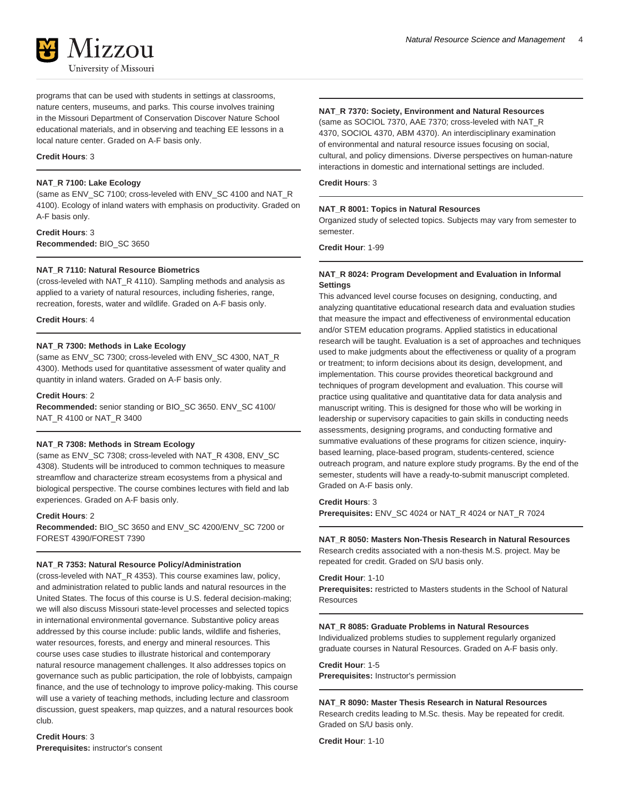

programs that can be used with students in settings at classrooms, nature centers, museums, and parks. This course involves training in the Missouri Department of Conservation Discover Nature School educational materials, and in observing and teaching EE lessons in a local nature center. Graded on A-F basis only.

#### **Credit Hours**: 3

#### **NAT\_R 7100: Lake Ecology**

(same as ENV\_SC 7100; cross-leveled with ENV\_SC 4100 and NAT\_R 4100). Ecology of inland waters with emphasis on productivity. Graded on A-F basis only.

**Credit Hours**: 3 **Recommended:** BIO\_SC 3650

#### **NAT\_R 7110: Natural Resource Biometrics**

(cross-leveled with NAT\_R 4110). Sampling methods and analysis as applied to a variety of natural resources, including fisheries, range, recreation, forests, water and wildlife. Graded on A-F basis only.

#### **Credit Hours**: 4

# **NAT\_R 7300: Methods in Lake Ecology**

(same as ENV\_SC 7300; cross-leveled with ENV\_SC 4300, NAT\_R 4300). Methods used for quantitative assessment of water quality and quantity in inland waters. Graded on A-F basis only.

#### **Credit Hours**: 2

**Recommended:** senior standing or BIO\_SC 3650. ENV\_SC 4100/ NAT\_R 4100 or NAT\_R 3400

#### **NAT\_R 7308: Methods in Stream Ecology**

(same as ENV\_SC 7308; cross-leveled with NAT\_R 4308, ENV\_SC 4308). Students will be introduced to common techniques to measure streamflow and characterize stream ecosystems from a physical and biological perspective. The course combines lectures with field and lab experiences. Graded on A-F basis only.

#### **Credit Hours**: 2

**Recommended:** BIO\_SC 3650 and ENV\_SC 4200/ENV\_SC 7200 or FOREST 4390/FOREST 7390

#### **NAT\_R 7353: Natural Resource Policy/Administration**

(cross-leveled with NAT\_R 4353). This course examines law, policy, and administration related to public lands and natural resources in the United States. The focus of this course is U.S. federal decision-making; we will also discuss Missouri state-level processes and selected topics in international environmental governance. Substantive policy areas addressed by this course include: public lands, wildlife and fisheries, water resources, forests, and energy and mineral resources. This course uses case studies to illustrate historical and contemporary natural resource management challenges. It also addresses topics on governance such as public participation, the role of lobbyists, campaign finance, and the use of technology to improve policy-making. This course will use a variety of teaching methods, including lecture and classroom discussion, guest speakers, map quizzes, and a natural resources book club.

**Credit Hours**: 3 **Prerequisites:** instructor's consent

# **NAT\_R 7370: Society, Environment and Natural Resources**

(same as SOCIOL 7370, AAE 7370; cross-leveled with NAT\_R 4370, SOCIOL 4370, ABM 4370). An interdisciplinary examination of environmental and natural resource issues focusing on social, cultural, and policy dimensions. Diverse perspectives on human-nature interactions in domestic and international settings are included.

#### **Credit Hours**: 3

#### **NAT\_R 8001: Topics in Natural Resources**

Organized study of selected topics. Subjects may vary from semester to semester.

**Credit Hour**: 1-99

#### **NAT\_R 8024: Program Development and Evaluation in Informal Settings**

This advanced level course focuses on designing, conducting, and analyzing quantitative educational research data and evaluation studies that measure the impact and effectiveness of environmental education and/or STEM education programs. Applied statistics in educational research will be taught. Evaluation is a set of approaches and techniques used to make judgments about the effectiveness or quality of a program or treatment; to inform decisions about its design, development, and implementation. This course provides theoretical background and techniques of program development and evaluation. This course will practice using qualitative and quantitative data for data analysis and manuscript writing. This is designed for those who will be working in leadership or supervisory capacities to gain skills in conducting needs assessments, designing programs, and conducting formative and summative evaluations of these programs for citizen science, inquirybased learning, place-based program, students-centered, science outreach program, and nature explore study programs. By the end of the semester, students will have a ready-to-submit manuscript completed. Graded on A-F basis only.

**Credit Hours**: 3

**Prerequisites:** ENV\_SC 4024 or NAT\_R 4024 or NAT\_R 7024

#### **NAT\_R 8050: Masters Non-Thesis Research in Natural Resources**

Research credits associated with a non-thesis M.S. project. May be repeated for credit. Graded on S/U basis only.

#### **Credit Hour**: 1-10

**Prerequisites:** restricted to Masters students in the School of Natural Resources

#### **NAT\_R 8085: Graduate Problems in Natural Resources**

Individualized problems studies to supplement regularly organized graduate courses in Natural Resources. Graded on A-F basis only.

**Credit Hour**: 1-5

**Prerequisites:** Instructor's permission

# **NAT\_R 8090: Master Thesis Research in Natural Resources**

Research credits leading to M.Sc. thesis. May be repeated for credit. Graded on S/U basis only.

**Credit Hour**: 1-10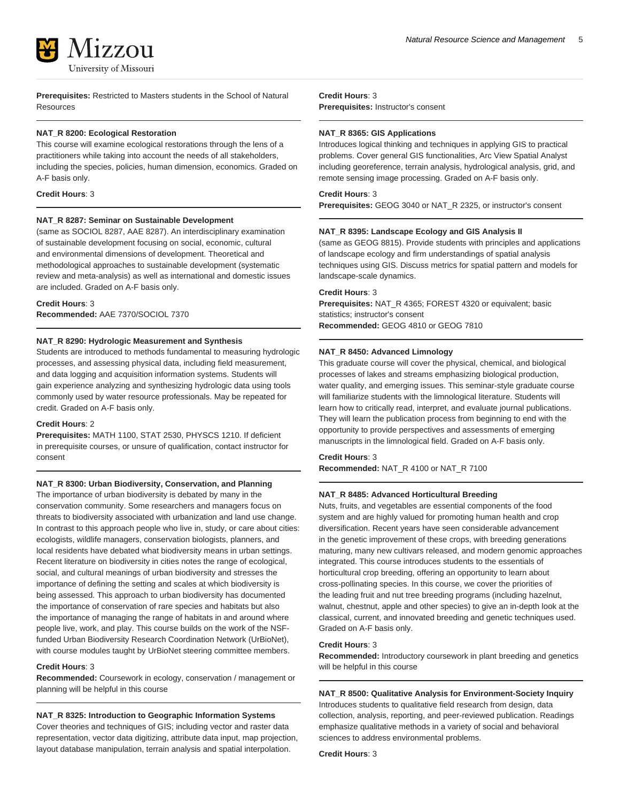

**Prerequisites:** Restricted to Masters students in the School of Natural Resources

#### **NAT\_R 8200: Ecological Restoration**

This course will examine ecological restorations through the lens of a practitioners while taking into account the needs of all stakeholders, including the species, policies, human dimension, economics. Graded on A-F basis only.

#### **Credit Hours**: 3

#### **NAT\_R 8287: Seminar on Sustainable Development**

(same as SOCIOL 8287, AAE 8287). An interdisciplinary examination of sustainable development focusing on social, economic, cultural and environmental dimensions of development. Theoretical and methodological approaches to sustainable development (systematic review and meta-analysis) as well as international and domestic issues are included. Graded on A-F basis only.

#### **Credit Hours**: 3

**Recommended:** AAE 7370/SOCIOL 7370

#### **NAT\_R 8290: Hydrologic Measurement and Synthesis**

Students are introduced to methods fundamental to measuring hydrologic processes, and assessing physical data, including field measurement, and data logging and acquisition information systems. Students will gain experience analyzing and synthesizing hydrologic data using tools commonly used by water resource professionals. May be repeated for credit. Graded on A-F basis only.

#### **Credit Hours**: 2

**Prerequisites:** MATH 1100, STAT 2530, PHYSCS 1210. If deficient in prerequisite courses, or unsure of qualification, contact instructor for consent

# **NAT\_R 8300: Urban Biodiversity, Conservation, and Planning**

The importance of urban biodiversity is debated by many in the conservation community. Some researchers and managers focus on threats to biodiversity associated with urbanization and land use change. In contrast to this approach people who live in, study, or care about cities: ecologists, wildlife managers, conservation biologists, planners, and local residents have debated what biodiversity means in urban settings. Recent literature on biodiversity in cities notes the range of ecological, social, and cultural meanings of urban biodiversity and stresses the importance of defining the setting and scales at which biodiversity is being assessed. This approach to urban biodiversity has documented the importance of conservation of rare species and habitats but also the importance of managing the range of habitats in and around where people live, work, and play. This course builds on the work of the NSFfunded Urban Biodiversity Research Coordination Network (UrBioNet), with course modules taught by UrBioNet steering committee members.

#### **Credit Hours**: 3

**Recommended:** Coursework in ecology, conservation / management or planning will be helpful in this course

# **NAT\_R 8325: Introduction to Geographic Information Systems**

Cover theories and techniques of GIS; including vector and raster data representation, vector data digitizing, attribute data input, map projection, layout database manipulation, terrain analysis and spatial interpolation.

# **Credit Hours**: 3

**Prerequisites:** Instructor's consent

#### **NAT\_R 8365: GIS Applications**

Introduces logical thinking and techniques in applying GIS to practical problems. Cover general GIS functionalities, Arc View Spatial Analyst including georeference, terrain analysis, hydrological analysis, grid, and remote sensing image processing. Graded on A-F basis only.

#### **Credit Hours**: 3

**Prerequisites:** GEOG 3040 or NAT\_R 2325, or instructor's consent

#### **NAT\_R 8395: Landscape Ecology and GIS Analysis II**

(same as GEOG 8815). Provide students with principles and applications of landscape ecology and firm understandings of spatial analysis techniques using GIS. Discuss metrics for spatial pattern and models for landscape-scale dynamics.

#### **Credit Hours**: 3

**Prerequisites:** NAT\_R 4365; FOREST 4320 or equivalent; basic statistics; instructor's consent **Recommended:** GEOG 4810 or GEOG 7810

#### **NAT\_R 8450: Advanced Limnology**

This graduate course will cover the physical, chemical, and biological processes of lakes and streams emphasizing biological production, water quality, and emerging issues. This seminar-style graduate course will familiarize students with the limnological literature. Students will learn how to critically read, interpret, and evaluate journal publications. They will learn the publication process from beginning to end with the opportunity to provide perspectives and assessments of emerging manuscripts in the limnological field. Graded on A-F basis only.

**Credit Hours**: 3

**Recommended:** NAT\_R 4100 or NAT\_R 7100

# **NAT\_R 8485: Advanced Horticultural Breeding**

Nuts, fruits, and vegetables are essential components of the food system and are highly valued for promoting human health and crop diversification. Recent years have seen considerable advancement in the genetic improvement of these crops, with breeding generations maturing, many new cultivars released, and modern genomic approaches integrated. This course introduces students to the essentials of horticultural crop breeding, offering an opportunity to learn about cross-pollinating species. In this course, we cover the priorities of the leading fruit and nut tree breeding programs (including hazelnut, walnut, chestnut, apple and other species) to give an in-depth look at the classical, current, and innovated breeding and genetic techniques used. Graded on A-F basis only.

# **Credit Hours**: 3

**Recommended:** Introductory coursework in plant breeding and genetics will be helpful in this course

**NAT\_R 8500: Qualitative Analysis for Environment-Society Inquiry** Introduces students to qualitative field research from design, data collection, analysis, reporting, and peer-reviewed publication. Readings emphasize qualitative methods in a variety of social and behavioral sciences to address environmental problems.

**Credit Hours**: 3